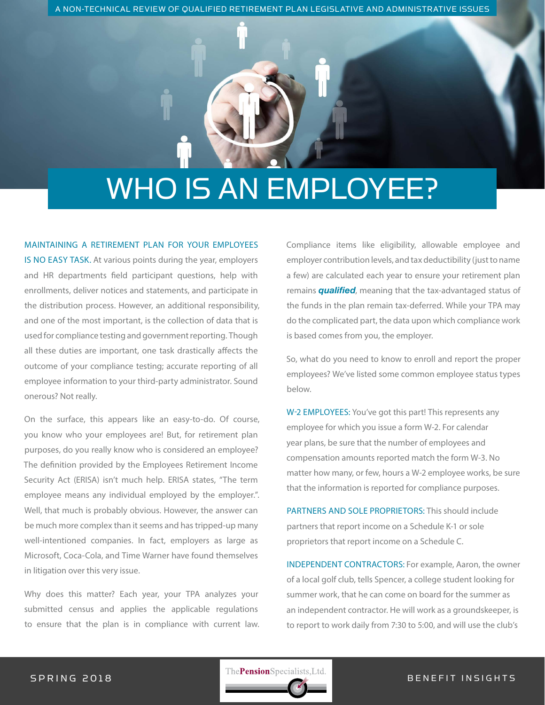A NON-TECHNICAL REVIEW OF QUALIFIED RETIREMENT PLAN LEGISLATIVE AND ADMINISTRATIVE ISSUES

# WHO IS AN EMPLOYEE?

## MAINTAINING A RETIREMENT PLAN FOR YOUR EMPLOYEES

IS NO EASY TASK. At various points during the year, employers and HR departments field participant questions, help with enrollments, deliver notices and statements, and participate in the distribution process. However, an additional responsibility, and one of the most important, is the collection of data that is used for compliance testing and government reporting. Though all these duties are important, one task drastically affects the outcome of your compliance testing; accurate reporting of all employee information to your third-party administrator. Sound onerous? Not really.

On the surface, this appears like an easy-to-do. Of course, you know who your employees are! But, for retirement plan purposes, do you really know who is considered an employee? The definition provided by the Employees Retirement Income Security Act (ERISA) isn't much help. ERISA states, "The term employee means any individual employed by the employer.". Well, that much is probably obvious. However, the answer can be much more complex than it seems and has tripped-up many well-intentioned companies. In fact, employers as large as Microsoft, Coca-Cola, and Time Warner have found themselves in litigation over this very issue.

Why does this matter? Each year, your TPA analyzes your submitted census and applies the applicable regulations to ensure that the plan is in compliance with current law. Compliance items like eligibility, allowable employee and employer contribution levels, and tax deductibility (just to name a few) are calculated each year to ensure your retirement plan remains *qualified*, meaning that the tax-advantaged status of the funds in the plan remain tax-deferred. While your TPA may do the complicated part, the data upon which compliance work is based comes from you, the employer.

So, what do you need to know to enroll and report the proper employees? We've listed some common employee status types below.

W-2 EMPLOYEES: You've got this part! This represents any employee for which you issue a form W-2. For calendar year plans, be sure that the number of employees and compensation amounts reported match the form W-3. No matter how many, or few, hours a W-2 employee works, be sure that the information is reported for compliance purposes.

PARTNERS AND SOLE PROPRIETORS: This should include partners that report income on a Schedule K-1 or sole proprietors that report income on a Schedule C.

INDEPENDENT CONTRACTORS: For example, Aaron, the owner of a local golf club, tells Spencer, a college student looking for summer work, that he can come on board for the summer as an independent contractor. He will work as a groundskeeper, is to report to work daily from 7:30 to 5:00, and will use the club's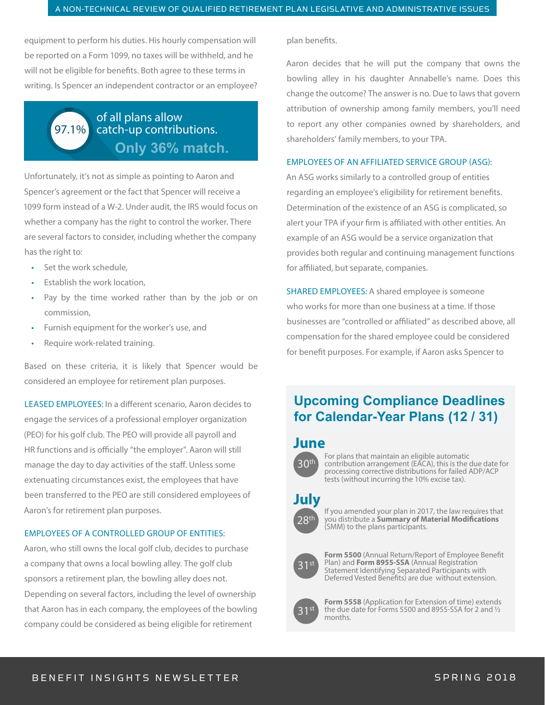equipment to perform his duties. His hourly compensation will be reported on a Form 1099, no taxes will be withheld, and he will not be eligible for benefits. Both agree to these terms in writing. Is Spencer an independent contractor or an employee?

# 97.1% of all plans allow catch-up contributions. **Only 36% match.**

Unfortunately, it's not as simple as pointing to Aaron and Spencer's agreement or the fact that Spencer will receive a 1099 form instead of a W-2. Under audit, the IRS would focus on whether a company has the right to control the worker. There are several factors to consider, including whether the company has the right to:

- Set the work schedule,
- Establish the work location,
- Pay by the time worked rather than by the job or on commission,
- Furnish equipment for the worker's use, and
- Require work-related training.

Based on these criteria, it is likely that Spencer would be considered an employee for retirement plan purposes.

LEASED EMPLOYEES: In a different scenario, Aaron decides to engage the services of a professional employer organization (PEO) for his golf club. The PEO will provide all payroll and HR functions and is officially "the employer". Aaron will still manage the day to day activities of the staff. Unless some extenuating circumstances exist, the employees that have been transferred to the PEO are still considered employees of Aaron's for retirement plan purposes.

### EMPLOYEES OF A CONTROLLED GROUP OF ENTITIES:

Aaron, who still owns the local golf club, decides to purchase a company that owns a local bowling alley. The golf club sponsors a retirement plan, the bowling alley does not. Depending on several factors, including the level of ownership that Aaron has in each company, the employees of the bowling company could be considered as being eligible for retirement

plan benefits.

Aaron decides that he will put the company that owns the bowling alley in his daughter Annabelle's name. Does this change the outcome? The answer is no. Due to laws that govern attribution of ownership among family members, you'll need to report any other companies owned by shareholders, and shareholders' family members, to your TPA.

### EMPLOYEES OF AN AFFILIATED SERVICE GROUP (ASG):

An ASG works similarly to a controlled group of entities regarding an employee's eligibility for retirement benefits. Determination of the existence of an ASG is complicated, so alert your TPA if your firm is affiliated with other entities. An example of an ASG would be a service organization that provides both regular and continuing management functions for affiliated, but separate, companies.

SHARED EMPLOYEES: A shared employee is someone who works for more than one business at a time. If those businesses are "controlled or affiliated" as described above, all compensation for the shared employee could be considered for benefit purposes. For example, if Aaron asks Spencer to

# **Upcoming Compliance Deadlines for Calendar-Year Plans (12 / 31)**

# **June**



For plans that maintain an eligible automatic contribution arrangement (EACA), this is the due date for processing corrective distributions for failed ADP/ACP tests (without incurring the 10% excise tax).

# **July**



If you amended your plan in 2017, the law requires that you distribute a Summary of Material Modifications (SMM) to the plans participants.



**Form 5500** (Annual Return/Report of Employee Benefit Plan) and **Form 8955-SSA** (Annual Registration Statement Identifying Separated Participants with Deferred Vested Benefits) are due without extension.



**Form 5558** (Application for Extension of time) extends the due date for Forms 5500 and 8955-SSA for 2 and ½ months.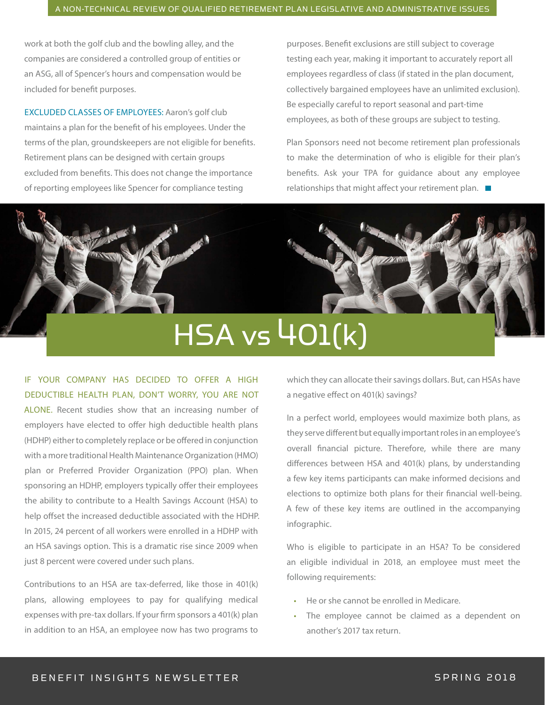work at both the golf club and the bowling alley, and the companies are considered a controlled group of entities or an ASG, all of Spencer's hours and compensation would be included for benefit purposes.

EXCLUDED CLASSES OF EMPLOYEES: Aaron's golf club maintains a plan for the benefit of his employees. Under the terms of the plan, groundskeepers are not eligible for benefits. Retirement plans can be designed with certain groups excluded from benefits. This does not change the importance of reporting employees like Spencer for compliance testing

purposes. Benefit exclusions are still subject to coverage testing each year, making it important to accurately report all employees regardless of class (if stated in the plan document, collectively bargained employees have an unlimited exclusion). Be especially careful to report seasonal and part-time employees, as both of these groups are subject to testing.

Plan Sponsors need not become retirement plan professionals to make the determination of who is eligible for their plan's benefits. Ask your TPA for guidance about any employee relationships that might affect your retirement plan.  $\blacksquare$ 

# HSA vs 401(k)

IF YOUR COMPANY HAS DECIDED TO OFFER A HIGH DEDUCTIBLE HEALTH PLAN, DON'T WORRY, YOU ARE NOT

ALONE. Recent studies show that an increasing number of employers have elected to offer high deductible health plans (HDHP) either to completely replace or be offered in conjunction with a more traditional Health Maintenance Organization (HMO) plan or Preferred Provider Organization (PPO) plan. When sponsoring an HDHP, employers typically offer their employees the ability to contribute to a Health Savings Account (HSA) to help offset the increased deductible associated with the HDHP. In 2015, 24 percent of all workers were enrolled in a HDHP with an HSA savings option. This is a dramatic rise since 2009 when just 8 percent were covered under such plans.

Contributions to an HSA are tax-deferred, like those in 401(k) plans, allowing employees to pay for qualifying medical expenses with pre-tax dollars. If your firm sponsors a 401(k) plan in addition to an HSA, an employee now has two programs to which they can allocate their savings dollars. But, can HSAs have a negative effect on 401(k) savings?

In a perfect world, employees would maximize both plans, as they serve different but equally important roles in an employee's overall financial picture. Therefore, while there are many differences between HSA and 401(k) plans, by understanding a few key items participants can make informed decisions and elections to optimize both plans for their financial well-being. A few of these key items are outlined in the accompanying infographic.

Who is eligible to participate in an HSA? To be considered an eligible individual in 2018, an employee must meet the following requirements:

- He or she cannot be enrolled in Medicare.
- The employee cannot be claimed as a dependent on another's 2017 tax return.